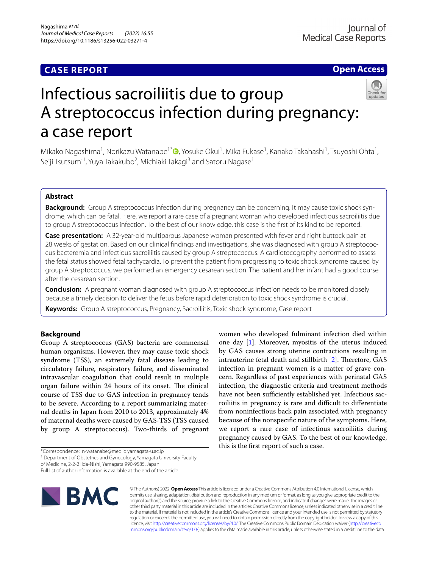# **CASE REPORT**

# **Open Access**



# Infectious sacroiliitis due to group A streptococcus infection during pregnancy: a case report

Mikako Nagashima<sup>1</sup>[,](http://orcid.org/0000-0002-4045-327X) Norikazu Watanabe<sup>1\*</sup>®, Yosuke Okui<sup>1</sup>, Mika Fukase<sup>1</sup>, Kanako Takahashi<sup>1</sup>, Tsuyoshi Ohta<sup>1</sup>, Seiji Tsutsumi<sup>1</sup>, Yuya Takakubo<sup>2</sup>, Michiaki Takagi<sup>3</sup> and Satoru Nagase<sup>1</sup>

# **Abstract**

**Background:** Group A streptococcus infection during pregnancy can be concerning. It may cause toxic shock syndrome, which can be fatal. Here, we report a rare case of a pregnant woman who developed infectious sacroiliitis due to group A streptococcus infection. To the best of our knowledge, this case is the frst of its kind to be reported.

**Case presentation:** A 32-year-old multiparous Japanese woman presented with fever and right buttock pain at 28 weeks of gestation. Based on our clinical fndings and investigations, she was diagnosed with group A streptococcus bacteremia and infectious sacroiliitis caused by group A streptococcus. A cardiotocography performed to assess the fetal status showed fetal tachycardia. To prevent the patient from progressing to toxic shock syndrome caused by group A streptococcus, we performed an emergency cesarean section. The patient and her infant had a good course after the cesarean section.

**Conclusion:** A pregnant woman diagnosed with group A streptococcus infection needs to be monitored closely because a timely decision to deliver the fetus before rapid deterioration to toxic shock syndrome is crucial.

**Keywords:** Group A streptococcus, Pregnancy, Sacroiliitis, Toxic shock syndrome, Case report

# **Background**

Group A streptococcus (GAS) bacteria are commensal human organisms. However, they may cause toxic shock syndrome (TSS), an extremely fatal disease leading to circulatory failure, respiratory failure, and disseminated intravascular coagulation that could result in multiple organ failure within 24 hours of its onset. The clinical course of TSS due to GAS infection in pregnancy tends to be severe. According to a report summarizing maternal deaths in Japan from 2010 to 2013, approximately 4% of maternal deaths were caused by GAS-TSS (TSS caused by group A streptococcus). Two-thirds of pregnant

of Medicine, 2-2-2 Iida-Nishi, Yamagata 990-9585, Japan

Full list of author information is available at the end of the article



© The Author(s) 2022. **Open Access** This article is licensed under a Creative Commons Attribution 4.0 International License, which permits use, sharing, adaptation, distribution and reproduction in any medium or format, as long as you give appropriate credit to the original author(s) and the source, provide a link to the Creative Commons licence, and indicate if changes were made. The images or other third party material in this article are included in the article's Creative Commons licence, unless indicated otherwise in a credit line to the material. If material is not included in the article's Creative Commons licence and your intended use is not permitted by statutory regulation or exceeds the permitted use, you will need to obtain permission directly from the copyright holder. To view a copy of this licence, visit [http://creativecommons.org/licenses/by/4.0/.](http://creativecommons.org/licenses/by/4.0/) The Creative Commons Public Domain Dedication waiver ([http://creativeco](http://creativecommons.org/publicdomain/zero/1.0/) [mmons.org/publicdomain/zero/1.0/](http://creativecommons.org/publicdomain/zero/1.0/)) applies to the data made available in this article, unless otherwise stated in a credit line to the data.

women who developed fulminant infection died within one day [[1\]](#page-3-0). Moreover, myositis of the uterus induced by GAS causes strong uterine contractions resulting in intrauterine fetal death and stillbirth  $[2]$  $[2]$ . Therefore, GAS infection in pregnant women is a matter of grave concern. Regardless of past experiences with perinatal GAS infection, the diagnostic criteria and treatment methods have not been sufficiently established yet. Infectious sacroiliitis in pregnancy is rare and difficult to differentiate from noninfectious back pain associated with pregnancy because of the nonspecifc nature of the symptoms. Here, we report a rare case of infectious sacroiliitis during pregnancy caused by GAS. To the best of our knowledge, this is the frst report of such a case.

<sup>\*</sup>Correspondence: n-watanabe@med.id.yamagata-u.ac.jp

<sup>&</sup>lt;sup>1</sup> Department of Obstetrics and Gynecology, Yamagata University Faculty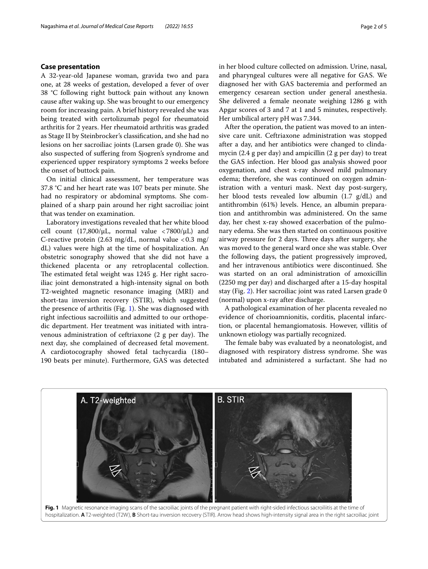# **Case presentation**

A 32-year-old Japanese woman, gravida two and para one, at 28 weeks of gestation, developed a fever of over 38 °C following right buttock pain without any known cause after waking up. She was brought to our emergency room for increasing pain. A brief history revealed she was being treated with certolizumab pegol for rheumatoid arthritis for 2 years. Her rheumatoid arthritis was graded as Stage II by Steinbrocker's classifcation, and she had no lesions on her sacroiliac joints (Larsen grade 0). She was also suspected of sufering from Sjogren's syndrome and experienced upper respiratory symptoms 2 weeks before the onset of buttock pain.

On initial clinical assessment, her temperature was 37.8 °C and her heart rate was 107 beats per minute. She had no respiratory or abdominal symptoms. She complained of a sharp pain around her right sacroiliac joint that was tender on examination.

Laboratory investigations revealed that her white blood cell count (17,800/ $\mu$ L, normal value <7800/ $\mu$ L) and C-reactive protein  $(2.63 \text{ mg/dL}$ , normal value <0.3 mg/ dL) values were high at the time of hospitalization. An obstetric sonography showed that she did not have a thickened placenta or any retroplacental collection. The estimated fetal weight was 1245 g. Her right sacroiliac joint demonstrated a high-intensity signal on both T2-weighted magnetic resonance imaging (MRI) and short-tau inversion recovery (STIR), which suggested the presence of arthritis (Fig. [1\)](#page-1-0). She was diagnosed with right infectious sacroiliitis and admitted to our orthopedic department. Her treatment was initiated with intravenous administration of ceftriaxone  $(2 \text{ g per day})$ . The next day, she complained of decreased fetal movement. A cardiotocography showed fetal tachycardia (180– 190 beats per minute). Furthermore, GAS was detected in her blood culture collected on admission. Urine, nasal, and pharyngeal cultures were all negative for GAS. We diagnosed her with GAS bacteremia and performed an emergency cesarean section under general anesthesia. She delivered a female neonate weighing 1286 g with Apgar scores of 3 and 7 at 1 and 5 minutes, respectively. Her umbilical artery pH was 7.344.

After the operation, the patient was moved to an intensive care unit. Ceftriaxone administration was stopped after a day, and her antibiotics were changed to clindamycin (2.4 g per day) and ampicillin (2 g per day) to treat the GAS infection. Her blood gas analysis showed poor oxygenation, and chest x-ray showed mild pulmonary edema; therefore, she was continued on oxygen administration with a venturi mask. Next day post-surgery, her blood tests revealed low albumin (1.7 g/dL) and antithrombin (61%) levels. Hence, an albumin preparation and antithrombin was administered. On the same day, her chest x-ray showed exacerbation of the pulmonary edema. She was then started on continuous positive airway pressure for 2 days. Three days after surgery, she was moved to the general ward once she was stable. Over the following days, the patient progressively improved, and her intravenous antibiotics were discontinued. She was started on an oral administration of amoxicillin (2250 mg per day) and discharged after a 15-day hospital stay (Fig. [2\)](#page-2-0). Her sacroiliac joint was rated Larsen grade 0 (normal) upon x-ray after discharge.

A pathological examination of her placenta revealed no evidence of chorioamnionitis, corditis, placental infarction, or placental hemangiomatosis. However, villitis of unknown etiology was partially recognized.

The female baby was evaluated by a neonatologist, and diagnosed with respiratory distress syndrome. She was intubated and administered a surfactant. She had no

<span id="page-1-0"></span>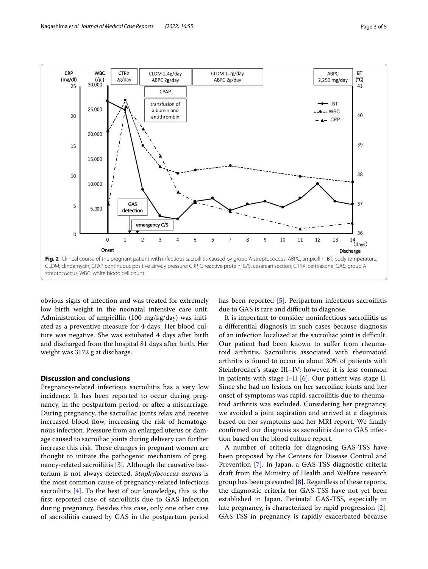

<span id="page-2-0"></span>obvious signs of infection and was treated for extremely low birth weight in the neonatal intensive care unit. Administration of ampicillin (100 mg/kg/day) was initiated as a preventive measure for 4 days. Her blood culture was negative. She was extubated 4 days after birth and discharged from the hospital 81 days after birth. Her weight was 3172 g at discharge.

# **Discussion and conclusions**

Pregnancy-related infectious sacroiliitis has a very low incidence. It has been reported to occur during pregnancy, in the postpartum period, or after a miscarriage. During pregnancy, the sacroiliac joints relax and receive increased blood flow, increasing the risk of hematogenous infection. Pressure from an enlarged uterus or damage caused to sacroiliac joints during delivery can further increase this risk. These changes in pregnant women are thought to initiate the pathogenic mechanism of preg-nancy-related sacroiliitis [\[3](#page-3-2)]. Although the causative bacterium is not always detected, *Staphylococcus aureus* is the most common cause of pregnancy-related infectious sacroiliitis  $[4]$  $[4]$ . To the best of our knowledge, this is the frst reported case of sacroiliitis due to GAS infection during pregnancy. Besides this case, only one other case of sacroiliitis caused by GAS in the postpartum period has been reported [\[5](#page-4-0)]. Peripartum infectious sacroiliitis due to GAS is rare and difficult to diagnose.

It is important to consider noninfectious sacroiliitis as a diferential diagnosis in such cases because diagnosis of an infection localized at the sacroiliac joint is difficult. Our patient had been known to sufer from rheumatoid arthritis. Sacroiliitis associated with rheumatoid arthritis is found to occur in about 30% of patients with Steinbrocker's stage III–IV; however, it is less common in patients with stage I–II [[6](#page-4-1)]. Our patient was stage II. Since she had no lesions on her sacroiliac joints and her onset of symptoms was rapid, sacroiliitis due to rheumatoid arthritis was excluded. Considering her pregnancy, we avoided a joint aspiration and arrived at a diagnosis based on her symptoms and her MRI report. We fnally confrmed our diagnosis as sacroiliitis due to GAS infection based on the blood culture report.

A number of criteria for diagnosing GAS-TSS have been proposed by the Centers for Disease Control and Prevention [\[7](#page-4-2)]. In Japan, a GAS-TSS diagnostic criteria draft from the Ministry of Health and Welfare research group has been presented [\[8](#page-4-3)]. Regardless of these reports, the diagnostic criteria for GAS-TSS have not yet been established in Japan. Perinatal GAS-TSS, especially in late pregnancy, is characterized by rapid progression [\[2](#page-3-1)]. GAS-TSS in pregnancy is rapidly exacerbated because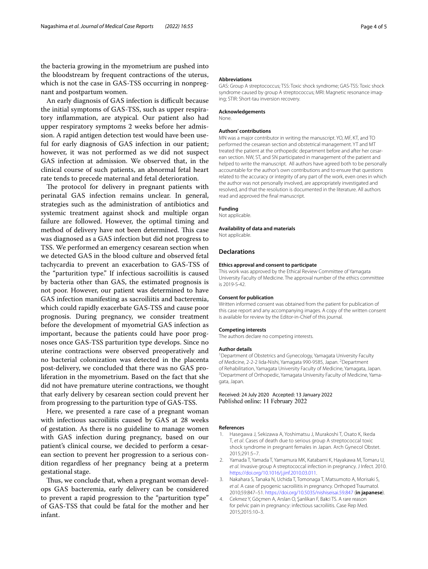the bacteria growing in the myometrium are pushed into the bloodstream by frequent contractions of the uterus, which is not the case in GAS-TSS occurring in nonpregnant and postpartum women.

An early diagnosis of GAS infection is difficult because the initial symptoms of GAS-TSS, such as upper respiratory infammation, are atypical. Our patient also had upper respiratory symptoms 2 weeks before her admission. A rapid antigen detection test would have been useful for early diagnosis of GAS infection in our patient; however, it was not performed as we did not suspect GAS infection at admission. We observed that, in the clinical course of such patients, an abnormal fetal heart rate tends to precede maternal and fetal deterioration.

The protocol for delivery in pregnant patients with perinatal GAS infection remains unclear. In general, strategies such as the administration of antibiotics and systemic treatment against shock and multiple organ failure are followed. However, the optimal timing and method of delivery have not been determined. This case was diagnosed as a GAS infection but did not progress to TSS. We performed an emergency cesarean section when we detected GAS in the blood culture and observed fetal tachycardia to prevent an exacerbation to GAS-TSS of the "parturition type." If infectious sacroiliitis is caused by bacteria other than GAS, the estimated prognosis is not poor. However, our patient was determined to have GAS infection manifesting as sacroiliitis and bacteremia, which could rapidly exacerbate GAS-TSS and cause poor prognosis. During pregnancy, we consider treatment before the development of myometrial GAS infection as important, because the patients could have poor prognoses once GAS-TSS parturition type develops. Since no uterine contractions were observed preoperatively and no bacterial colonization was detected in the placenta post-delivery, we concluded that there was no GAS proliferation in the myometrium. Based on the fact that she did not have premature uterine contractions, we thought that early delivery by cesarean section could prevent her from progressing to the parturition type of GAS-TSS.

Here, we presented a rare case of a pregnant woman with infectious sacroiliitis caused by GAS at 28 weeks of gestation. As there is no guideline to manage women with GAS infection during pregnancy, based on our patient's clinical course, we decided to perform a cesarean section to prevent her progression to a serious condition regardless of her pregnancy being at a preterm gestational stage.

Thus, we conclude that, when a pregnant woman develops GAS bacteremia, early delivery can be considered to prevent a rapid progression to the "parturition type" of GAS-TSS that could be fatal for the mother and her infant.

#### **Abbreviations**

GAS: Group A streptococcus; TSS: Toxic shock syndrome; GAS-TSS: Toxic shock syndrome caused by group A streptococcus; MRI: Magnetic resonance imaging; STIR: Short-tau inversion recovery.

#### **Acknowledgements**

None.

#### **Authors' contributions**

MN was a major contributor in writing the manuscript. YO, MF, KT, and TO performed the cesarean section and obstetrical management. YT and MT treated the patient at the orthopedic department before and after her cesarean section. NW, ST, and SN participated in management of the patient and helped to write the manuscript. All authors have agreed both to be personally accountable for the author's own contributions and to ensure that questions related to the accuracy or integrity of any part of the work, even ones in which the author was not personally involved, are appropriately investigated and resolved, and that the resolution is documented in the literature. All authors read and approved the fnal manuscript.

#### **Funding**

Not applicable.

## **Availability of data and materials**

Not applicable.

## **Declarations**

#### **Ethics approval and consent to participate**

This work was approved by the Ethical Review Committee of Yamagata University Faculty of Medicine. The approval number of the ethics committee is 2019-S-42.

#### **Consent for publication**

Written informed consent was obtained from the patient for publication of this case report and any accompanying images. A copy of the written consent is available for review by the Editor-in-Chief of this journal.

#### **Competing interests**

The authors declare no competing interests.

#### **Author details**

<sup>1</sup> Department of Obstetrics and Gynecology, Yamagata University Faculty of Medicine, 2-2-2 lida-Nishi, Yamagata 990-9585, Japan. <sup>2</sup>Department of Rehabilitation, Yamagata University Faculty of Medicine, Yamagata, Japan. 3 <sup>3</sup> Department of Orthopedic, Yamagata University Faculty of Medicine, Yamagata, Japan.

Received: 24 July 2020 Accepted: 13 January 2022 Published online: 11 February 2022

#### **References**

- <span id="page-3-0"></span>1. Hasegawa J, Sekizawa A, Yoshimatsu J, Murakoshi T, Osato K, Ikeda T, *et al*. Cases of death due to serious group A streptococcal toxic shock syndrome in pregnant females in Japan. Arch Gynecol Obstet. 2015;291:5–7.
- <span id="page-3-1"></span>2. Yamada T, Yamada T, Yamamura MK, Katabami K, Hayakawa M, Tomaru U, *et al*. Invasive group A streptococcal infection in pregnancy. J Infect. 2010. <https://doi.org/10.1016/j.jinf.2010.03.011>.
- <span id="page-3-2"></span>3. Nakahara S, Tanaka N, Uchida T, Tomonaga T, Matsumoto A, Morisaki S, *et al*. A case of pyogenic sacroiliitis in pregnancy. Orthoped Traumatol. 2010;59:847–51.<https://doi.org/10.5035/nishiseisai.59.847>(**in japanese**).
- <span id="page-3-3"></span>4. Cekmez Y, Göçmen A, Arslan O, Şanlikan F, Baici TS. A rare reason for pelvic pain in pregnancy: infectious sacroiliitis. Case Rep Med. 2015;2015:10–3.